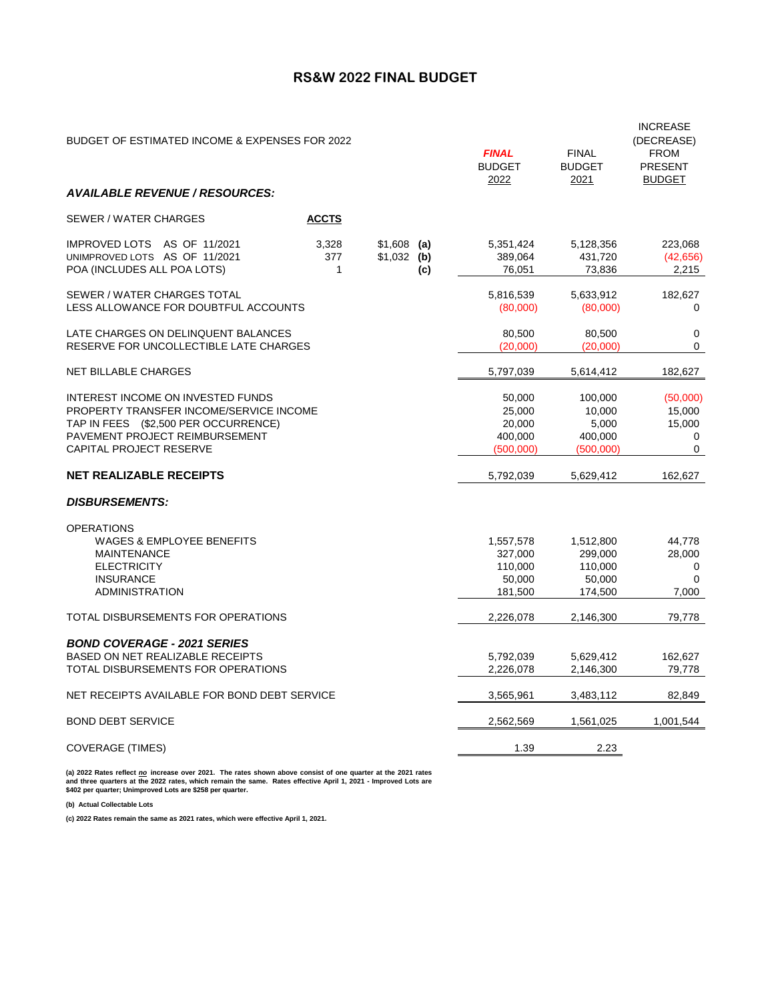## **RS&W 2022 FINAL BUDGET**

| BUDGET OF ESTIMATED INCOME & EXPENSES FOR 2022                                                                                                                                           |                              |                              |                                                    | <b>FINAL</b><br><b>BUDGET</b><br>2022                | <b>FINAL</b><br><b>BUDGET</b><br>2021                | <b>INCREASE</b><br>(DECREASE)<br><b>FROM</b><br><b>PRESENT</b><br><b>BUDGET</b> |
|------------------------------------------------------------------------------------------------------------------------------------------------------------------------------------------|------------------------------|------------------------------|----------------------------------------------------|------------------------------------------------------|------------------------------------------------------|---------------------------------------------------------------------------------|
| <b>AVAILABLE REVENUE / RESOURCES:</b>                                                                                                                                                    |                              |                              |                                                    |                                                      |                                                      |                                                                                 |
| SEWER / WATER CHARGES                                                                                                                                                                    | <b>ACCTS</b>                 |                              |                                                    |                                                      |                                                      |                                                                                 |
| IMPROVED LOTS AS OF 11/2021<br>UNIMPROVED LOTS AS OF 11/2021<br>POA (INCLUDES ALL POA LOTS)                                                                                              | 3,328<br>377<br>$\mathbf{1}$ | $$1,608$ (a)<br>$$1,032$ (b) | (c)                                                | 5,351,424<br>389,064<br>76,051                       | 5,128,356<br>431,720<br>73,836                       | 223,068<br>(42, 656)<br>2,215                                                   |
| SEWER / WATER CHARGES TOTAL<br>LESS ALLOWANCE FOR DOUBTFUL ACCOUNTS                                                                                                                      |                              |                              | 5,816,539<br>(80,000)                              | 5,633,912<br>(80,000)                                | 182,627<br>0                                         |                                                                                 |
| LATE CHARGES ON DELINQUENT BALANCES<br>RESERVE FOR UNCOLLECTIBLE LATE CHARGES                                                                                                            |                              |                              | 80,500<br>(20,000)                                 | 80,500<br>(20,000)                                   | 0<br>$\Omega$                                        |                                                                                 |
| <b>NET BILLABLE CHARGES</b>                                                                                                                                                              |                              |                              |                                                    | 5,797,039                                            | 5,614,412                                            | 182,627                                                                         |
| <b>INTEREST INCOME ON INVESTED FUNDS</b><br>PROPERTY TRANSFER INCOME/SERVICE INCOME<br>TAP IN FEES (\$2,500 PER OCCURRENCE)<br>PAVEMENT PROJECT REIMBURSEMENT<br>CAPITAL PROJECT RESERVE |                              |                              | 50,000<br>25,000<br>20,000<br>400,000<br>(500,000) | 100,000<br>10,000<br>5,000<br>400,000<br>(500,000)   | (50,000)<br>15,000<br>15,000<br>0<br>$\mathbf 0$     |                                                                                 |
| <b>NET REALIZABLE RECEIPTS</b>                                                                                                                                                           |                              |                              |                                                    | 5,792,039                                            | 5,629,412                                            | 162,627                                                                         |
| <b>DISBURSEMENTS:</b>                                                                                                                                                                    |                              |                              |                                                    |                                                      |                                                      |                                                                                 |
| <b>OPERATIONS</b><br><b>WAGES &amp; EMPLOYEE BENEFITS</b><br><b>MAINTENANCE</b><br><b>ELECTRICITY</b><br><b>INSURANCE</b><br>ADMINISTRATION                                              |                              |                              |                                                    | 1,557,578<br>327,000<br>110,000<br>50,000<br>181,500 | 1,512,800<br>299,000<br>110,000<br>50,000<br>174,500 | 44,778<br>28,000<br>0<br>$\Omega$<br>7,000                                      |
| TOTAL DISBURSEMENTS FOR OPERATIONS                                                                                                                                                       |                              |                              |                                                    | 2,226,078                                            | 2,146,300                                            | 79,778                                                                          |
| <b>BOND COVERAGE - 2021 SERIES</b><br>BASED ON NET REALIZABLE RECEIPTS<br>TOTAL DISBURSEMENTS FOR OPERATIONS                                                                             |                              |                              |                                                    | 5,792,039<br>2,226,078                               | 5,629,412<br>2,146,300                               | 162,627<br>79,778                                                               |
| NET RECEIPTS AVAILABLE FOR BOND DEBT SERVICE                                                                                                                                             |                              | 3,565,961                    | 3,483,112                                          | 82,849                                               |                                                      |                                                                                 |
| <b>BOND DEBT SERVICE</b>                                                                                                                                                                 |                              | 2,562,569                    | 1,561,025                                          | 1,001,544                                            |                                                      |                                                                                 |
| <b>COVERAGE (TIMES)</b>                                                                                                                                                                  |                              | 1.39                         | 2.23                                               |                                                      |                                                      |                                                                                 |

(a) 2022 Rates reflect <u>*no*</u> increase over 2021. The rates shown above consist of one quarter at the 2021 rates<br>and three quarters at the 2022 rates, which remain the same. Rates effective April 1, 2021 - Improved Lots

**(b) Actual Collectable Lots**

**(c) 2022 Rates remain the same as 2021 rates, which were effective April 1, 2021.**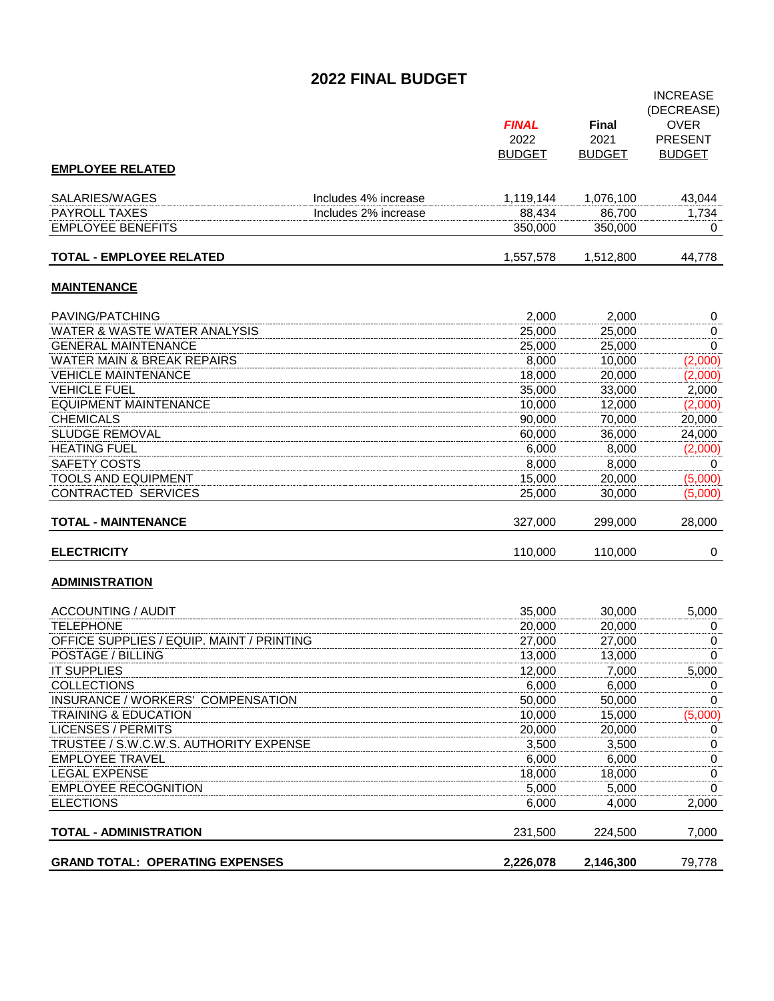## **2022 FINAL BUDGET**

|                                           |                      | <b>FINAL</b><br>2022 | <b>Final</b><br>2021 | <b>INCREASE</b><br>(DECREASE)<br><b>OVER</b><br><b>PRESENT</b> |
|-------------------------------------------|----------------------|----------------------|----------------------|----------------------------------------------------------------|
| <b>EMPLOYEE RELATED</b>                   |                      | <b>BUDGET</b>        | <b>BUDGET</b>        | <b>BUDGET</b>                                                  |
|                                           |                      |                      |                      |                                                                |
| SALARIES/WAGES                            | Includes 4% increase | 1,119,144            | 1,076,100            | 43,044                                                         |
| <b>PAYROLL TAXES</b>                      | Includes 2% increase | 88,434               | 86,700               | 1,734                                                          |
| <b>EMPLOYEE BENEFITS</b>                  |                      | 350,000              | 350,000              | 0                                                              |
| <b>TOTAL - EMPLOYEE RELATED</b>           |                      | 1,557,578            | 1,512,800            | 44,778                                                         |
| <b>MAINTENANCE</b>                        |                      |                      |                      |                                                                |
| PAVING/PATCHING                           |                      | 2,000                | 2.000                | $\boldsymbol{0}$                                               |
| WATER & WASTE WATER ANALYSIS              |                      | 25,000               | 25,000               | 0                                                              |
| <b>GENERAL MAINTENANCE</b>                |                      | 25,000               | 25,000               | 0                                                              |
| <b>WATER MAIN &amp; BREAK REPAIRS</b>     |                      | 8,000                | 10,000               | (2,000)                                                        |
| <b>VEHICLE MAINTENANCE</b>                |                      | 18,000               | 20,000               | (2,000)                                                        |
| <b>VEHICLE FUEL</b>                       |                      | 35,000               | 33,000               | 2,000                                                          |
| <b>EQUIPMENT MAINTENANCE</b>              |                      | 10,000               | 12,000               | (2,000)                                                        |
| <b>CHEMICALS</b>                          |                      | 90,000               | 70,000               | 20,000                                                         |
| <b>SLUDGE REMOVAL</b>                     |                      | 60,000               | 36.000               | 24,000                                                         |
| <b>HEATING FUEL</b>                       |                      | 6,000                | 8,000                | (2,000)                                                        |
| <b>SAFETY COSTS</b>                       |                      | 8,000                | 8,000                | 0                                                              |
| <b>TOOLS AND EQUIPMENT</b>                |                      | 15,000               | 20,000               | (5,000)                                                        |
| <b>CONTRACTED SERVICES</b>                |                      | 25,000               | 30,000               | (5,000)                                                        |
| <b>TOTAL - MAINTENANCE</b>                |                      | 327,000              | 299,000              | 28,000                                                         |
| <b>ELECTRICITY</b>                        |                      | 110,000              | 110,000              | 0                                                              |
| <b>ADMINISTRATION</b>                     |                      |                      |                      |                                                                |
| <b>ACCOUNTING / AUDIT</b>                 |                      | 35,000               | 30,000               | 5,000                                                          |
| <b>TELEPHONE</b>                          |                      | 20,000               | 20,000               | 0                                                              |
| OFFICE SUPPLIES / EQUIP. MAINT / PRINTING |                      | 27,000               | 27,000               | 0                                                              |
| POSTAGE / BILLING                         |                      | 13,000               | 13,000               | 0                                                              |
| <b>IT SUPPLIES</b>                        |                      | 12,000               | 7,000                | 5,000                                                          |
| COLLECTIONS                               |                      | 6,000                | 6,000                | $\overline{0}$                                                 |
| INSURANCE / WORKERS' COMPENSATION         |                      | 50,000               | 50,000               | 0                                                              |
| <b>TRAINING &amp; EDUCATION</b>           |                      | 10,000               | 15,000               | (5,000)                                                        |
| <b>LICENSES / PERMITS</b>                 |                      | 20,000               | 20,000               | 0                                                              |
| TRUSTEE / S.W.C.W.S. AUTHORITY EXPENSE    |                      | 3,500                | 3,500                | 0                                                              |
| <b>EMPLOYEE TRAVEL</b>                    |                      | 6,000                | 6,000                | 0                                                              |
| <b>LEGAL EXPENSE</b>                      |                      | 18,000               | 18,000               | 0                                                              |
| <b>EMPLOYEE RECOGNITION</b>               |                      | 5,000                | 5,000                | $\mathbf 0$                                                    |
| <b>ELECTIONS</b>                          |                      | 6,000                | 4,000                | 2,000                                                          |
| <b>TOTAL - ADMINISTRATION</b>             |                      | 231,500              | 224,500              | 7,000                                                          |
| <b>GRAND TOTAL: OPERATING EXPENSES</b>    |                      | 2,226,078            | 2,146,300            | 79,778                                                         |